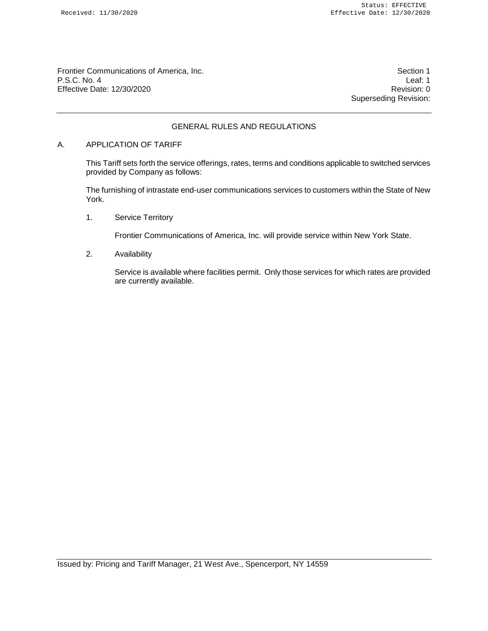Frontier Communications of America, Inc. Section 1 P.S.C. No. 4 Leaf: 1<br>Effective Date: 12/30/2020 Effective Date: 12/30/2020

Superseding Revision:

# GENERAL RULES AND REGULATIONS

#### A. APPLICATION OF TARIFF

This Tariff sets forth the service offerings, rates, terms and conditions applicable to switched services provided by Company as follows:

The furnishing of intrastate end-user communications services to customers within the State of New York.

1. Service Territory

Frontier Communications of America, Inc. will provide service within New York State.

2. Availability

Service is available where facilities permit. Only those services for which rates are provided are currently available.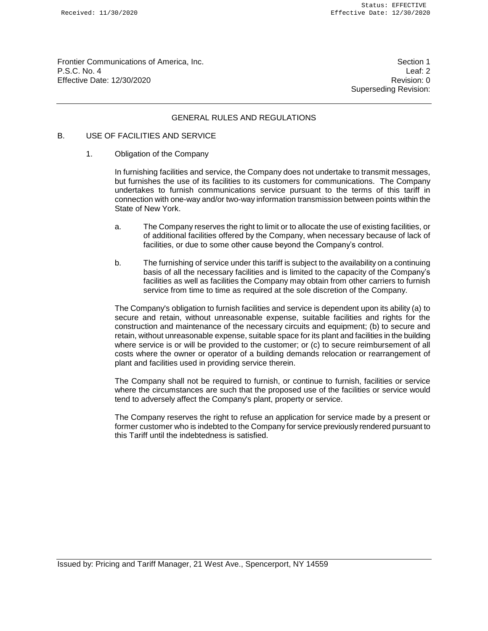Frontier Communications of America, Inc. Section 1 P.S.C. No. 4 Leaf: 2 Effective Date: 12/30/2020 Revision: 0

Superseding Revision:

#### GENERAL RULES AND REGULATIONS

## B. USE OF FACILITIES AND SERVICE

#### 1. Obligation of the Company

In furnishing facilities and service, the Company does not undertake to transmit messages, but furnishes the use of its facilities to its customers for communications. The Company undertakes to furnish communications service pursuant to the terms of this tariff in connection with one-way and/or two-way information transmission between points within the State of New York.

- a. The Company reserves the right to limit or to allocate the use of existing facilities, or of additional facilities offered by the Company, when necessary because of lack of facilities, or due to some other cause beyond the Company's control.
- b. The furnishing of service under this tariff is subject to the availability on a continuing basis of all the necessary facilities and is limited to the capacity of the Company's facilities as well as facilities the Company may obtain from other carriers to furnish service from time to time as required at the sole discretion of the Company.

The Company's obligation to furnish facilities and service is dependent upon its ability (a) to secure and retain, without unreasonable expense, suitable facilities and rights for the construction and maintenance of the necessary circuits and equipment; (b) to secure and retain, without unreasonable expense, suitable space for its plant and facilities in the building where service is or will be provided to the customer; or (c) to secure reimbursement of all costs where the owner or operator of a building demands relocation or rearrangement of plant and facilities used in providing service therein.

The Company shall not be required to furnish, or continue to furnish, facilities or service where the circumstances are such that the proposed use of the facilities or service would tend to adversely affect the Company's plant, property or service.

The Company reserves the right to refuse an application for service made by a present or former customer who is indebted to the Company for service previously rendered pursuant to this Tariff until the indebtedness is satisfied.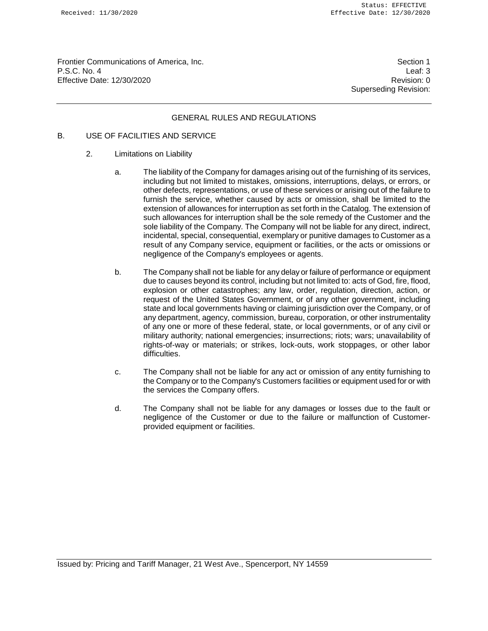Frontier Communications of America, Inc. Section 1 P.S.C. No. 4 Leaf: 3 Effective Date: 12/30/2020 **Revision: 0** 

Superseding Revision:

#### GENERAL RULES AND REGULATIONS

## B. USE OF FACILITIES AND SERVICE

- 2. Limitations on Liability
	- a. The liability of the Company for damages arising out of the furnishing of its services, including but not limited to mistakes, omissions, interruptions, delays, or errors, or other defects, representations, or use of these services or arising out of the failure to furnish the service, whether caused by acts or omission, shall be limited to the extension of allowances for interruption as set forth in the Catalog. The extension of such allowances for interruption shall be the sole remedy of the Customer and the sole liability of the Company. The Company will not be liable for any direct, indirect, incidental, special, consequential, exemplary or punitive damages to Customer as a result of any Company service, equipment or facilities, or the acts or omissions or negligence of the Company's employees or agents.
	- b. The Company shall not be liable for any delay or failure of performance or equipment due to causes beyond its control, including but not limited to: acts of God, fire, flood, explosion or other catastrophes; any law, order, regulation, direction, action, or request of the United States Government, or of any other government, including state and local governments having or claiming jurisdiction over the Company, or of any department, agency, commission, bureau, corporation, or other instrumentality of any one or more of these federal, state, or local governments, or of any civil or military authority; national emergencies; insurrections; riots; wars; unavailability of rights-of-way or materials; or strikes, lock-outs, work stoppages, or other labor difficulties.
	- c. The Company shall not be liable for any act or omission of any entity furnishing to the Company or to the Company's Customers facilities or equipment used for or with the services the Company offers.
	- d. The Company shall not be liable for any damages or losses due to the fault or negligence of the Customer or due to the failure or malfunction of Customerprovided equipment or facilities.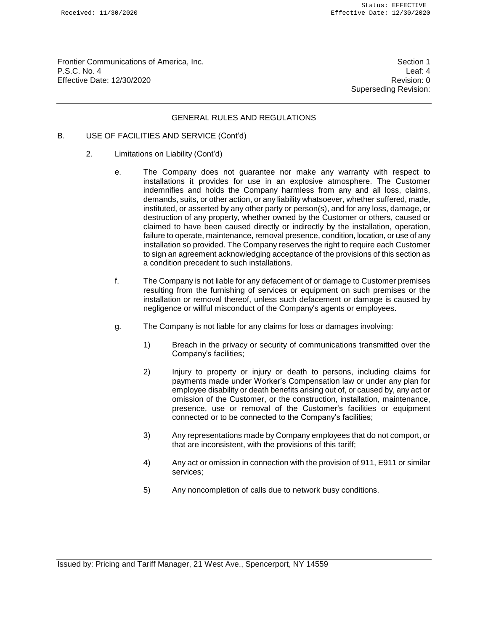Frontier Communications of America, Inc. Section 1 P.S.C. No. 4 Leaf: 4 Effective Date: 12/30/2020 **Revision: 0** 

Superseding Revision:

## GENERAL RULES AND REGULATIONS

- B. USE OF FACILITIES AND SERVICE (Cont'd)
	- 2. Limitations on Liability (Cont'd)
		- e. The Company does not guarantee nor make any warranty with respect to installations it provides for use in an explosive atmosphere. The Customer indemnifies and holds the Company harmless from any and all loss, claims, demands, suits, or other action, or any liability whatsoever, whether suffered, made, instituted, or asserted by any other party or person(s), and for any loss, damage, or destruction of any property, whether owned by the Customer or others, caused or claimed to have been caused directly or indirectly by the installation, operation, failure to operate, maintenance, removal presence, condition, location, or use of any installation so provided. The Company reserves the right to require each Customer to sign an agreement acknowledging acceptance of the provisions of this section as a condition precedent to such installations.
		- f. The Company is not liable for any defacement of or damage to Customer premises resulting from the furnishing of services or equipment on such premises or the installation or removal thereof, unless such defacement or damage is caused by negligence or willful misconduct of the Company's agents or employees.
		- g. The Company is not liable for any claims for loss or damages involving:
			- 1) Breach in the privacy or security of communications transmitted over the Company's facilities;
			- 2) Injury to property or injury or death to persons, including claims for payments made under Worker's Compensation law or under any plan for employee disability or death benefits arising out of, or caused by, any act or omission of the Customer, or the construction, installation, maintenance, presence, use or removal of the Customer's facilities or equipment connected or to be connected to the Company's facilities;
			- 3) Any representations made by Company employees that do not comport, or that are inconsistent, with the provisions of this tariff;
			- 4) Any act or omission in connection with the provision of 911, E911 or similar services;
			- 5) Any noncompletion of calls due to network busy conditions.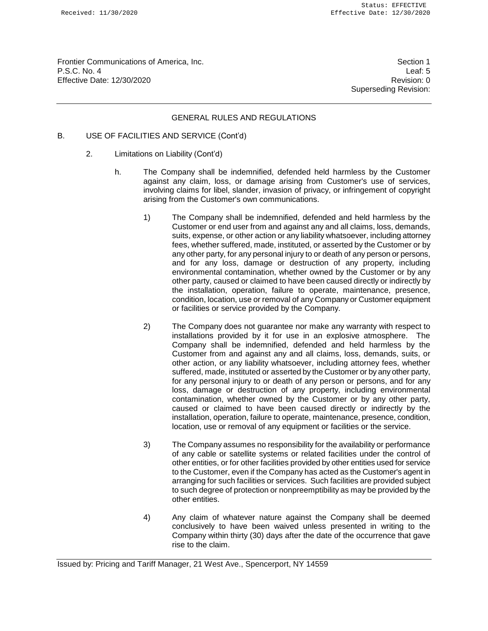Frontier Communications of America, Inc. Section 1 P.S.C. No. 4 Leaf: 5 Effective Date: 12/30/2020 **Revision: 0** 

Superseding Revision:

#### GENERAL RULES AND REGULATIONS

- B. USE OF FACILITIES AND SERVICE (Cont'd)
	- 2. Limitations on Liability (Cont'd)
		- h. The Company shall be indemnified, defended held harmless by the Customer against any claim, loss, or damage arising from Customer's use of services, involving claims for libel, slander, invasion of privacy, or infringement of copyright arising from the Customer's own communications.
			- 1) The Company shall be indemnified, defended and held harmless by the Customer or end user from and against any and all claims, loss, demands, suits, expense, or other action or any liability whatsoever, including attorney fees, whether suffered, made, instituted, or asserted by the Customer or by any other party, for any personal injury to or death of any person or persons, and for any loss, damage or destruction of any property, including environmental contamination, whether owned by the Customer or by any other party, caused or claimed to have been caused directly or indirectly by the installation, operation, failure to operate, maintenance, presence, condition, location, use or removal of any Company or Customer equipment or facilities or service provided by the Company.
			- 2) The Company does not guarantee nor make any warranty with respect to installations provided by it for use in an explosive atmosphere. The Company shall be indemnified, defended and held harmless by the Customer from and against any and all claims, loss, demands, suits, or other action, or any liability whatsoever, including attorney fees, whether suffered, made, instituted or asserted by the Customer or by any other party, for any personal injury to or death of any person or persons, and for any loss, damage or destruction of any property, including environmental contamination, whether owned by the Customer or by any other party, caused or claimed to have been caused directly or indirectly by the installation, operation, failure to operate, maintenance, presence, condition, location, use or removal of any equipment or facilities or the service.
			- 3) The Company assumes no responsibility for the availability or performance of any cable or satellite systems or related facilities under the control of other entities, or for other facilities provided by other entities used for service to the Customer, even if the Company has acted as the Customer's agent in arranging for such facilities or services. Such facilities are provided subject to such degree of protection or nonpreemptibility as may be provided by the other entities.
			- 4) Any claim of whatever nature against the Company shall be deemed conclusively to have been waived unless presented in writing to the Company within thirty (30) days after the date of the occurrence that gave rise to the claim.

Issued by: Pricing and Tariff Manager, 21 West Ave., Spencerport, NY 14559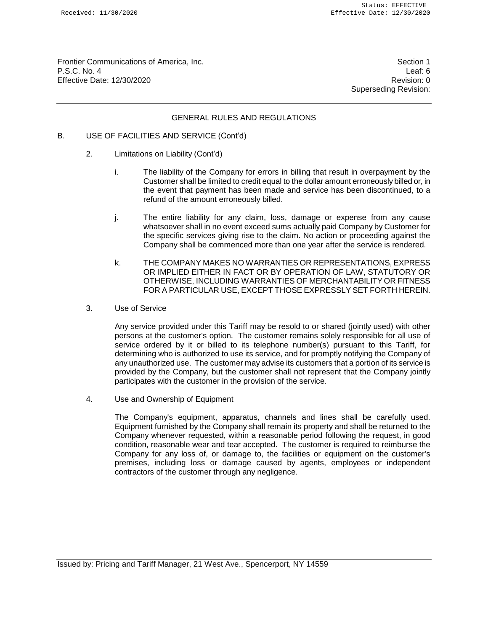Frontier Communications of America, Inc. Section 1 P.S.C. No. 4 Leaf: 6 Effective Date: 12/30/2020 **Revision: 0** 

Superseding Revision:

#### GENERAL RULES AND REGULATIONS

- B. USE OF FACILITIES AND SERVICE (Cont'd)
	- 2. Limitations on Liability (Cont'd)
		- i. The liability of the Company for errors in billing that result in overpayment by the Customer shall be limited to credit equal to the dollar amount erroneously billed or, in the event that payment has been made and service has been discontinued, to a refund of the amount erroneously billed.
		- j. The entire liability for any claim, loss, damage or expense from any cause whatsoever shall in no event exceed sums actually paid Company by Customer for the specific services giving rise to the claim. No action or proceeding against the Company shall be commenced more than one year after the service is rendered.
		- k. THE COMPANY MAKES NO WARRANTIES OR REPRESENTATIONS, EXPRESS OR IMPLIED EITHER IN FACT OR BY OPERATION OF LAW, STATUTORY OR OTHERWISE, INCLUDING WARRANTIES OF MERCHANTABILITY OR FITNESS FOR A PARTICULAR USE, EXCEPT THOSE EXPRESSLY SET FORTH HEREIN.
	- 3. Use of Service

Any service provided under this Tariff may be resold to or shared (jointly used) with other persons at the customer's option. The customer remains solely responsible for all use of service ordered by it or billed to its telephone number(s) pursuant to this Tariff, for determining who is authorized to use its service, and for promptly notifying the Company of any unauthorized use. The customer may advise its customers that a portion of its service is provided by the Company, but the customer shall not represent that the Company jointly participates with the customer in the provision of the service.

4. Use and Ownership of Equipment

The Company's equipment, apparatus, channels and lines shall be carefully used. Equipment furnished by the Company shall remain its property and shall be returned to the Company whenever requested, within a reasonable period following the request, in good condition, reasonable wear and tear accepted. The customer is required to reimburse the Company for any loss of, or damage to, the facilities or equipment on the customer's premises, including loss or damage caused by agents, employees or independent contractors of the customer through any negligence.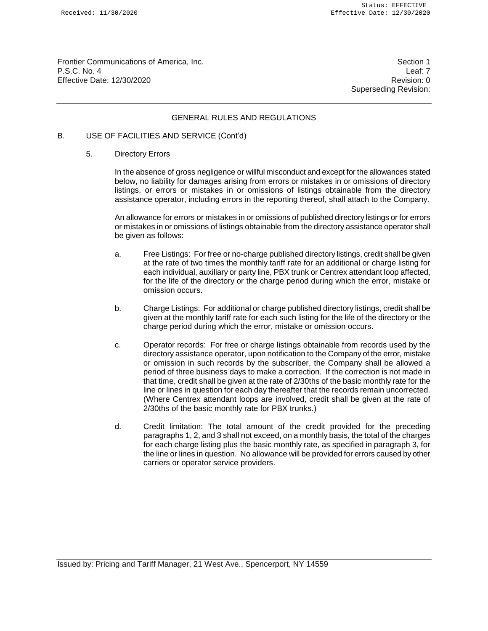Frontier Communications of America, Inc. Section 1 P.S.C. No. 4 Leaf: 7 Effective Date: 12/30/2020 **Revision: 0** 

Superseding Revision:

## GENERAL RULES AND REGULATIONS

## B. USE OF FACILITIES AND SERVICE (Cont'd)

#### 5. Directory Errors

In the absence of gross negligence or willful misconduct and except for the allowances stated below, no liability for damages arising from errors or mistakes in or omissions of directory listings, or errors or mistakes in or omissions of listings obtainable from the directory assistance operator, including errors in the reporting thereof, shall attach to the Company.

An allowance for errors or mistakes in or omissions of published directory listings or for errors or mistakes in or omissions of listings obtainable from the directory assistance operator shall be given as follows:

- a. Free Listings: For free or no-charge published directory listings, credit shall be given at the rate of two times the monthly tariff rate for an additional or charge listing for each individual, auxiliary or party line, PBX trunk or Centrex attendant loop affected, for the life of the directory or the charge period during which the error, mistake or omission occurs.
- b. Charge Listings: For additional or charge published directory listings, credit shall be given at the monthly tariff rate for each such listing for the life of the directory or the charge period during which the error, mistake or omission occurs.
- c. Operator records: For free or charge listings obtainable from records used by the directory assistance operator, upon notification to the Company of the error, mistake or omission in such records by the subscriber, the Company shall be allowed a period of three business days to make a correction. If the correction is not made in that time, credit shall be given at the rate of 2/30ths of the basic monthly rate for the line or lines in question for each day thereafter that the records remain uncorrected. (Where Centrex attendant loops are involved, credit shall be given at the rate of 2/30ths of the basic monthly rate for PBX trunks.)
- d. Credit limitation: The total amount of the credit provided for the preceding paragraphs 1, 2, and 3 shall not exceed, on a monthly basis, the total of the charges for each charge listing plus the basic monthly rate, as specified in paragraph 3, for the line or lines in question. No allowance will be provided for errors caused by other carriers or operator service providers.